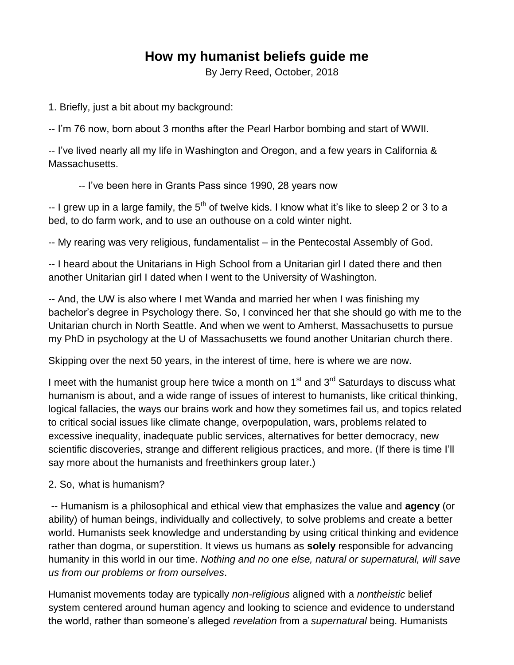## **How my humanist beliefs guide me**

By Jerry Reed, October, 2018

1. Briefly, just a bit about my background:

-- I'm 76 now, born about 3 months after the Pearl Harbor bombing and start of WWII.

-- I've lived nearly all my life in Washington and Oregon, and a few years in California & Massachusetts.

-- I've been here in Grants Pass since 1990, 28 years now

 $-1$  grew up in a large family, the 5<sup>th</sup> of twelve kids. I know what it's like to sleep 2 or 3 to a bed, to do farm work, and to use an outhouse on a cold winter night.

-- My rearing was very religious, fundamentalist – in the Pentecostal Assembly of God.

-- I heard about the Unitarians in High School from a Unitarian girl I dated there and then another Unitarian girl I dated when I went to the University of Washington.

-- And, the UW is also where I met Wanda and married her when I was finishing my bachelor's degree in Psychology there. So, I convinced her that she should go with me to the Unitarian church in North Seattle. And when we went to Amherst, Massachusetts to pursue my PhD in psychology at the U of Massachusetts we found another Unitarian church there.

Skipping over the next 50 years, in the interest of time, here is where we are now.

I meet with the humanist group here twice a month on  $1<sup>st</sup>$  and  $3<sup>rd</sup>$  Saturdays to discuss what humanism is about, and a wide range of issues of interest to humanists, like critical thinking, logical fallacies, the ways our brains work and how they sometimes fail us, and topics related to critical social issues like climate change, overpopulation, wars, problems related to excessive inequality, inadequate public services, alternatives for better democracy, new scientific discoveries, strange and different religious practices, and more. (If there is time I'll say more about the humanists and freethinkers group later.)

## 2. So, what is humanism?

-- Humanism is a philosophical and ethical view that emphasizes the value and **agency** (or ability) of human beings, individually and collectively, to solve problems and create a better world. Humanists seek knowledge and understanding by using critical thinking and evidence rather than dogma, or superstition. It views us humans as **solely** responsible for advancing humanity in this world in our time. *Nothing and no one else, natural or supernatural, will save us from our problems or from ourselves*.

Humanist movements today are typically *non-religious* aligned with a *nontheistic* belief system centered around human agency and looking to science and evidence to understand the world, rather than someone's alleged *revelation* from a *supernatural* being. Humanists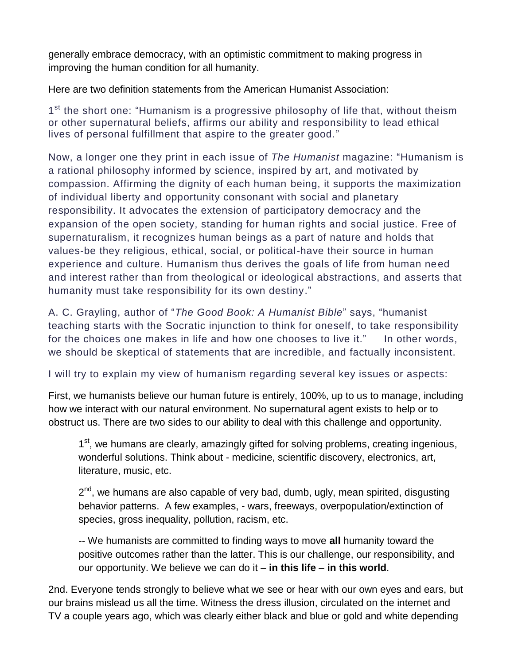generally embrace democracy, with an optimistic commitment to making progress in improving the human condition for all humanity.

Here are two definition statements from the American Humanist Association:

1<sup>st</sup> the short one: "Humanism is a progressive philosophy of life that, without theism or other supernatural beliefs, affirms our ability and responsibility to lead ethical lives of personal fulfillment that aspire to the greater good."

Now, a longer one they print in each issue of *The Humanist* magazine: "Humanism is a rational philosophy informed by science, inspired by art, and motivated by compassion. Affirming the dignity of each human being, it supports the maximization of individual liberty and opportunity consonant with social and planetary responsibility. It advocates the extension of participatory democracy and the expansion of the open society, standing for human rights and social justice. Free of supernaturalism, it recognizes human beings as a part of nature and holds that values-be they religious, ethical, social, or political-have their source in human experience and culture. Humanism thus derives the goals of life from human need and interest rather than from theological or ideological abstractions, and asserts that humanity must take responsibility for its own destiny."

A. C. Grayling, author of "*The Good Book: A Humanist Bible*" says, "humanist teaching starts with the Socratic injunction to think for oneself, to take responsibility for the choices one makes in life and how one chooses to live it." In other words, we should be skeptical of statements that are incredible, and factually inconsistent.

I will try to explain my view of humanism regarding several key issues or aspects:

First, we humanists believe our human future is entirely, 100%, up to us to manage, including how we interact with our natural environment. No supernatural agent exists to help or to obstruct us. There are two sides to our ability to deal with this challenge and opportunity.

1<sup>st</sup>, we humans are clearly, amazingly gifted for solving problems, creating ingenious, wonderful solutions. Think about - medicine, scientific discovery, electronics, art, literature, music, etc.

2<sup>nd</sup>, we humans are also capable of very bad, dumb, ugly, mean spirited, disgusting behavior patterns. A few examples, - wars, freeways, overpopulation/extinction of species, gross inequality, pollution, racism, etc.

-- We humanists are committed to finding ways to move **all** humanity toward the positive outcomes rather than the latter. This is our challenge, our responsibility, and our opportunity. We believe we can do it – **in this life** – **in this world**.

2nd. Everyone tends strongly to believe what we see or hear with our own eyes and ears, but our brains mislead us all the time. Witness the dress illusion, circulated on the internet and TV a couple years ago, which was clearly either black and blue or gold and white depending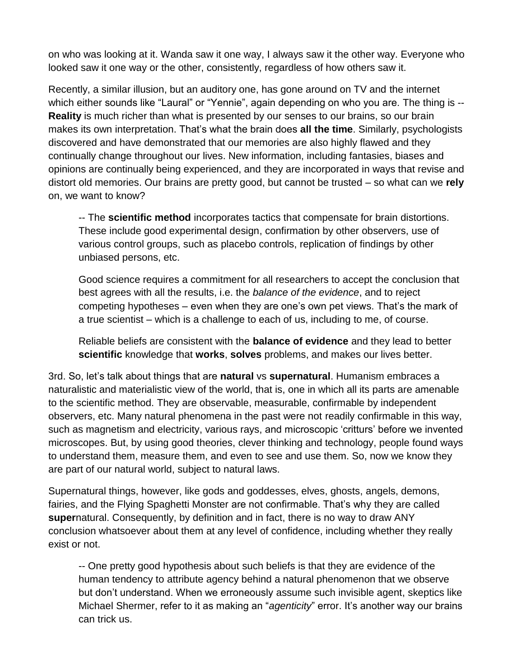on who was looking at it. Wanda saw it one way, I always saw it the other way. Everyone who looked saw it one way or the other, consistently, regardless of how others saw it.

Recently, a similar illusion, but an auditory one, has gone around on TV and the internet which either sounds like "Laural" or "Yennie", again depending on who you are. The thing is --**Reality** is much richer than what is presented by our senses to our brains, so our brain makes its own interpretation. That's what the brain does **all the time**. Similarly, psychologists discovered and have demonstrated that our memories are also highly flawed and they continually change throughout our lives. New information, including fantasies, biases and opinions are continually being experienced, and they are incorporated in ways that revise and distort old memories. Our brains are pretty good, but cannot be trusted – so what can we **rely** on, we want to know?

-- The **scientific method** incorporates tactics that compensate for brain distortions. These include good experimental design, confirmation by other observers, use of various control groups, such as placebo controls, replication of findings by other unbiased persons, etc.

Good science requires a commitment for all researchers to accept the conclusion that best agrees with all the results, i.e. the *balance of the evidence*, and to reject competing hypotheses – even when they are one's own pet views. That's the mark of a true scientist – which is a challenge to each of us, including to me, of course.

Reliable beliefs are consistent with the **balance of evidence** and they lead to better **scientific** knowledge that **works**, **solves** problems, and makes our lives better.

3rd. So, let's talk about things that are **natural** vs **supernatural**. Humanism embraces a naturalistic and materialistic view of the world, that is, one in which all its parts are amenable to the scientific method. They are observable, measurable, confirmable by independent observers, etc. Many natural phenomena in the past were not readily confirmable in this way, such as magnetism and electricity, various rays, and microscopic 'critturs' before we invented microscopes. But, by using good theories, clever thinking and technology, people found ways to understand them, measure them, and even to see and use them. So, now we know they are part of our natural world, subject to natural laws.

Supernatural things, however, like gods and goddesses, elves, ghosts, angels, demons, fairies, and the Flying Spaghetti Monster are not confirmable. That's why they are called **super**natural. Consequently, by definition and in fact, there is no way to draw ANY conclusion whatsoever about them at any level of confidence, including whether they really exist or not.

-- One pretty good hypothesis about such beliefs is that they are evidence of the human tendency to attribute agency behind a natural phenomenon that we observe but don't understand. When we erroneously assume such invisible agent, skeptics like Michael Shermer, refer to it as making an "*agenticity*" error. It's another way our brains can trick us.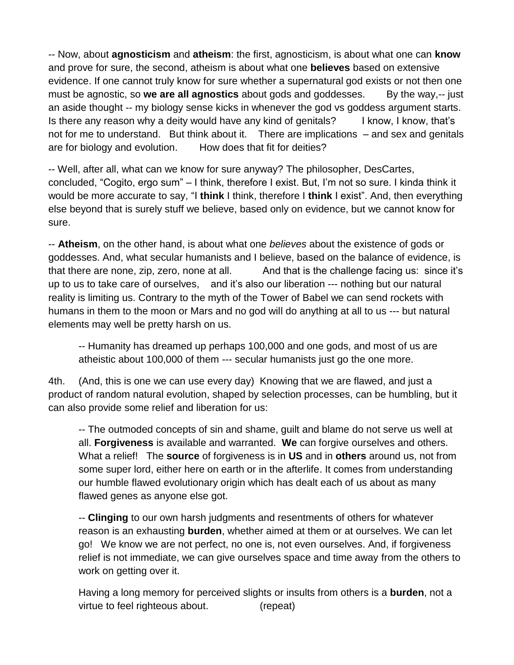-- Now, about **agnosticism** and **atheism**: the first, agnosticism, is about what one can **know** and prove for sure, the second, atheism is about what one **believes** based on extensive evidence. If one cannot truly know for sure whether a supernatural god exists or not then one must be agnostic, so **we are all agnostics** about gods and goddesses. By the way,-- just an aside thought -- my biology sense kicks in whenever the god vs goddess argument starts. Is there any reason why a deity would have any kind of genitals? I know, I know, that's not for me to understand. But think about it. There are implications – and sex and genitals are for biology and evolution. How does that fit for deities?

-- Well, after all, what can we know for sure anyway? The philosopher, DesCartes, concluded, "Cogito, ergo sum" – I think, therefore I exist. But, I'm not so sure. I kinda think it would be more accurate to say, "I **think** I think, therefore I **think** I exist". And, then everything else beyond that is surely stuff we believe, based only on evidence, but we cannot know for sure.

-- **Atheism**, on the other hand, is about what one *believes* about the existence of gods or goddesses. And, what secular humanists and I believe, based on the balance of evidence, is that there are none, zip, zero, none at all. And that is the challenge facing us: since it's up to us to take care of ourselves, and it's also our liberation --- nothing but our natural reality is limiting us. Contrary to the myth of the Tower of Babel we can send rockets with humans in them to the moon or Mars and no god will do anything at all to us --- but natural elements may well be pretty harsh on us.

-- Humanity has dreamed up perhaps 100,000 and one gods, and most of us are atheistic about 100,000 of them --- secular humanists just go the one more.

4th. (And, this is one we can use every day) Knowing that we are flawed, and just a product of random natural evolution, shaped by selection processes, can be humbling, but it can also provide some relief and liberation for us:

-- The outmoded concepts of sin and shame, guilt and blame do not serve us well at all. **Forgiveness** is available and warranted. **We** can forgive ourselves and others. What a relief! The **source** of forgiveness is in **US** and in **others** around us, not from some super lord, either here on earth or in the afterlife. It comes from understanding our humble flawed evolutionary origin which has dealt each of us about as many flawed genes as anyone else got.

-- **Clinging** to our own harsh judgments and resentments of others for whatever reason is an exhausting **burden**, whether aimed at them or at ourselves. We can let go! We know we are not perfect, no one is, not even ourselves. And, if forgiveness relief is not immediate, we can give ourselves space and time away from the others to work on getting over it.

Having a long memory for perceived slights or insults from others is a **burden**, not a virtue to feel righteous about. (repeat)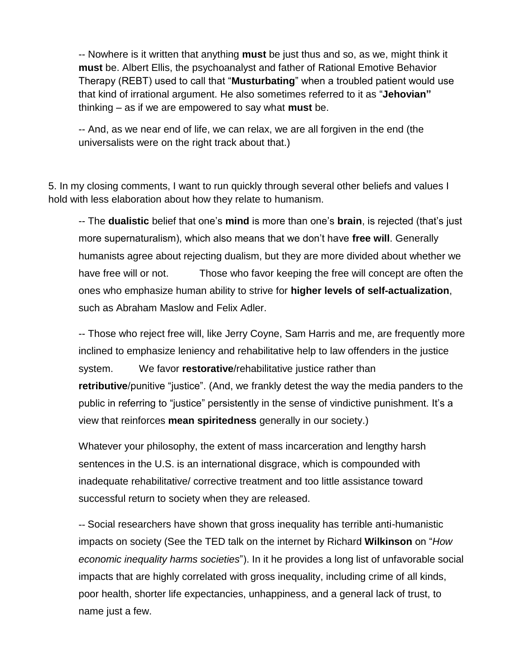-- Nowhere is it written that anything **must** be just thus and so, as we, might think it **must** be. Albert Ellis, the psychoanalyst and father of Rational Emotive Behavior Therapy (REBT) used to call that "**Musturbating**" when a troubled patient would use that kind of irrational argument. He also sometimes referred to it as "**Jehovian"** thinking – as if we are empowered to say what **must** be.

-- And, as we near end of life, we can relax, we are all forgiven in the end (the universalists were on the right track about that.)

5. In my closing comments, I want to run quickly through several other beliefs and values I hold with less elaboration about how they relate to humanism.

-- The **dualistic** belief that one's **mind** is more than one's **brain**, is rejected (that's just more supernaturalism), which also means that we don't have **free will**. Generally humanists agree about rejecting dualism, but they are more divided about whether we have free will or not. Those who favor keeping the free will concept are often the ones who emphasize human ability to strive for **higher levels of self-actualization**, such as Abraham Maslow and Felix Adler.

-- Those who reject free will, like Jerry Coyne, Sam Harris and me, are frequently more inclined to emphasize leniency and rehabilitative help to law offenders in the justice system. We favor **restorative**/rehabilitative justice rather than **retributive**/punitive "justice". (And, we frankly detest the way the media panders to the public in referring to "justice" persistently in the sense of vindictive punishment. It's a view that reinforces **mean spiritedness** generally in our society.)

Whatever your philosophy, the extent of mass incarceration and lengthy harsh sentences in the U.S. is an international disgrace, which is compounded with inadequate rehabilitative/ corrective treatment and too little assistance toward successful return to society when they are released.

-- Social researchers have shown that gross inequality has terrible anti-humanistic impacts on society (See the TED talk on the internet by Richard **[Wilkinson](https://www.ted.com/talks/richard_wilkinson)** on "*How [economic inequality harms societies](https://www.ted.com/talks/richard_wilkinson)*"). In it he provides a long list of unfavorable social impacts that are highly correlated with gross inequality, including crime of all kinds, poor health, shorter life expectancies, unhappiness, and a general lack of trust, to name just a few.